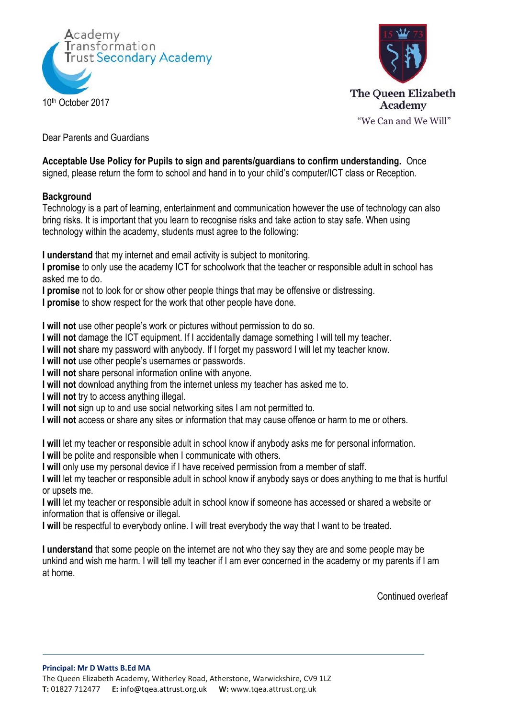



Dear Parents and Guardians

## **Acceptable Use Policy for Pupils to sign and parents/guardians to confirm understanding.** Once

signed, please return the form to school and hand in to your child's computer/ICT class or Reception.

## **Background**

Technology is a part of learning, entertainment and communication however the use of technology can also bring risks. It is important that you learn to recognise risks and take action to stay safe. When using technology within the academy, students must agree to the following:

**I understand** that my internet and email activity is subject to monitoring.

**I promise** to only use the academy ICT for schoolwork that the teacher or responsible adult in school has asked me to do.

**I promise** not to look for or show other people things that may be offensive or distressing.

**I promise** to show respect for the work that other people have done.

**I will not** use other people's work or pictures without permission to do so.

**I will not** damage the ICT equipment. If I accidentally damage something I will tell my teacher.

**I will not** share my password with anybody. If I forget my password I will let my teacher know.

**I will not** use other people's usernames or passwords.

**I will not** share personal information online with anyone.

**I will not** download anything from the internet unless my teacher has asked me to.

**I will not** try to access anything illegal.

**I will not** sign up to and use social networking sites I am not permitted to.

**I will not** access or share any sites or information that may cause offence or harm to me or others.

**I will** let my teacher or responsible adult in school know if anybody asks me for personal information.

**I will** be polite and responsible when I communicate with others.

**I will** only use my personal device if I have received permission from a member of staff.

**I will** let my teacher or responsible adult in school know if anybody says or does anything to me that is hurtful or upsets me.

**I will** let my teacher or responsible adult in school know if someone has accessed or shared a website or information that is offensive or illegal.

**I will** be respectful to everybody online. I will treat everybody the way that I want to be treated.

**I understand** that some people on the internet are not who they say they are and some people may be unkind and wish me harm. I will tell my teacher if I am ever concerned in the academy or my parents if I am at home.

Continued overleaf